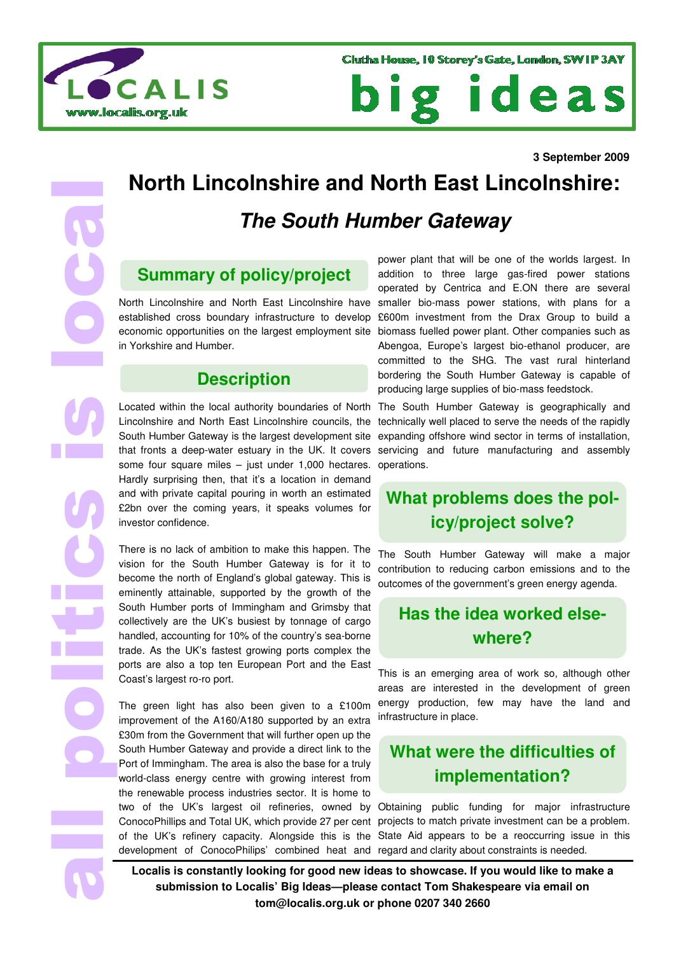



# **North Lincolnshire and North East Lincolnshire:**

## **The South Humber Gateway**

#### **Summary of policy/project**

North Lincolnshire and North East Lincolnshire have established cross boundary infrastructure to develop economic opportunities on the largest employment site in Yorkshire and Humber.

#### **Description**

Located within the local authority boundaries of North Lincolnshire and North East Lincolnshire councils, the South Humber Gateway is the largest development site that fronts a deep-water estuary in the UK. It covers some four square miles – just under 1,000 hectares. Hardly surprising then, that it's a location in demand and with private capital pouring in worth an estimated £2bn over the coming years, it speaks volumes for investor confidence.

There is no lack of ambition to make this happen. The vision for the South Humber Gateway is for it to become the north of England's global gateway. This is eminently attainable, supported by the growth of the South Humber ports of Immingham and Grimsby that collectively are the UK's busiest by tonnage of cargo handled, accounting for 10% of the country's sea-borne trade. As the UK's fastest growing ports complex the ports are also a top ten European Port and the East Coast's largest ro-ro port.

 **3 September 2009** all politics is local The green light has also been given to a £100m improvement of the A160/A180 supported by an extra £30m from the Government that will further open up the South Humber Gateway and provide a direct link to the Port of Immingham. The area is also the base for a truly world-class energy centre with growing interest from the renewable process industries sector. It is home to ConocoPhillips and Total UK, which provide 27 per cent development of ConocoPhilips' combined heat and regard and clarity about constraints is needed.

power plant that will be one of the worlds largest. In addition to three large gas-fired power stations operated by Centrica and E.ON there are several smaller bio-mass power stations, with plans for a £600m investment from the Drax Group to build a biomass fuelled power plant. Other companies such as Abengoa, Europe's largest bio-ethanol producer, are committed to the SHG. The vast rural hinterland bordering the South Humber Gateway is capable of producing large supplies of bio-mass feedstock.

The South Humber Gateway is geographically and technically well placed to serve the needs of the rapidly expanding offshore wind sector in terms of installation, servicing and future manufacturing and assembly operations.

## **What problems does the policy/project solve?**

The South Humber Gateway will make a major contribution to reducing carbon emissions and to the outcomes of the government's green energy agenda.

## **Has the idea worked elsewhere?**

This is an emerging area of work so, although other areas are interested in the development of green energy production, few may have the land and infrastructure in place.

#### **What were the difficulties of implementation?**

two of the UK's largest oil refineries, owned by Obtaining public funding for major infrastructure of the UK's refinery capacity. Alongside this is the State Aid appears to be a reoccurring issue in this projects to match private investment can be a problem.

**Localis is constantly looking for good new ideas to showcase. If you would like to make a submission to Localis' Big Ideas—please contact Tom Shakespeare via email on tom@localis.org.uk or phone 0207 340 2660**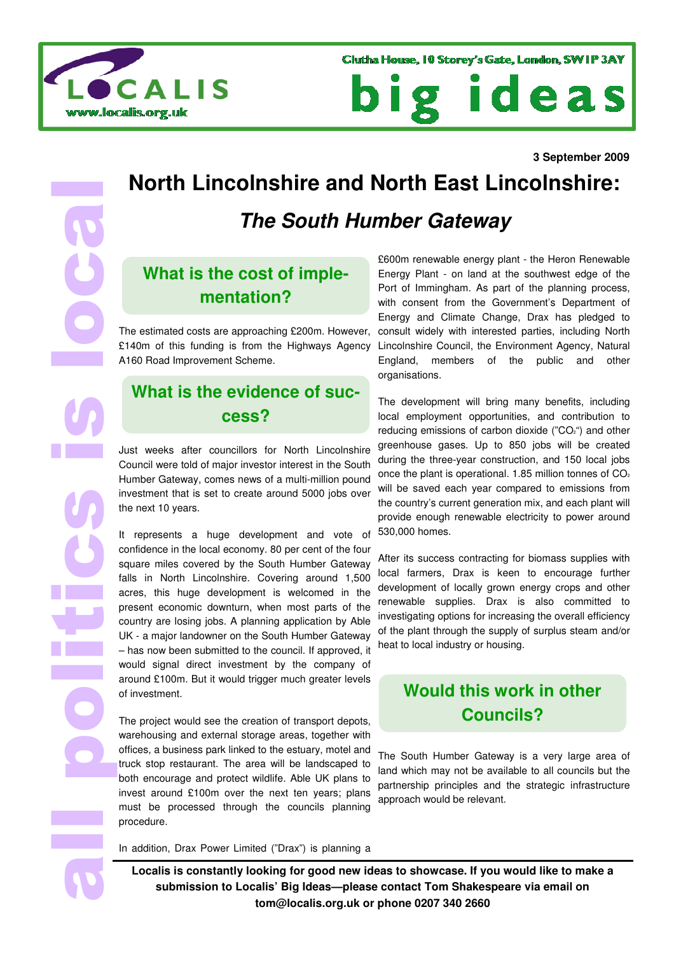

ideas DI g

# **North Lincolnshire and North East Lincolnshire:**

#### **The South Humber Gateway**

#### **What is the cost of implementation?**

The estimated costs are approaching £200m. However, £140m of this funding is from the Highways Agency A160 Road Improvement Scheme.

#### **What is the evidence of success?**

Just weeks after councillors for North Lincolnshire Council were told of major investor interest in the South Humber Gateway, comes news of a multi-million pound investment that is set to create around 5000 jobs over the next 10 years.

**September 2009**<br> **3** September 2009<br> **3** September 2009<br> **3** September 2009<br> **3** September 2009<br> **3** September 2009<br> **3** September 2009<br> **3** September 2009<br> **3** September 2009<br> **3** September 2009<br> **3** September 2009<br> **3** It represents a huge development and vote of confidence in the local economy. 80 per cent of the four square miles covered by the South Humber Gateway falls in North Lincolnshire. Covering around 1,500 acres, this huge development is welcomed in the present economic downturn, when most parts of the country are losing jobs. A planning application by Able UK - a major landowner on the South Humber Gateway – has now been submitted to the council. If approved, it would signal direct investment by the company of around £100m. But it would trigger much greater levels of investment.

The project would see the creation of transport depots, warehousing and external storage areas, together with offices, a business park linked to the estuary, motel and truck stop restaurant. The area will be landscaped to both encourage and protect wildlife. Able UK plans to invest around £100m over the next ten years; plans must be processed through the councils planning procedure.

£600m renewable energy plant - the Heron Renewable Energy Plant - on land at the southwest edge of the Port of Immingham. As part of the planning process, with consent from the Government's Department of Energy and Climate Change, Drax has pledged to consult widely with interested parties, including North Lincolnshire Council, the Environment Agency, Natural England, members of the public and other organisations.

The development will bring many benefits, including local employment opportunities, and contribution to reducing emissions of carbon dioxide ("CO<sub>2</sub>") and other greenhouse gases. Up to 850 jobs will be created during the three-year construction, and 150 local jobs once the plant is operational. 1.85 million tonnes of  $CO<sub>2</sub>$ will be saved each year compared to emissions from the country's current generation mix, and each plant will provide enough renewable electricity to power around 530,000 homes.

After its success contracting for biomass supplies with local farmers, Drax is keen to encourage further development of locally grown energy crops and other renewable supplies. Drax is also committed to investigating options for increasing the overall efficiency of the plant through the supply of surplus steam and/or heat to local industry or housing.

#### **Would this work in other Councils?**

The South Humber Gateway is a very large area of land which may not be available to all councils but the partnership principles and the strategic infrastructure approach would be relevant.

In addition, Drax Power Limited ("Drax") is planning a

**Localis is constantly looking for good new ideas to showcase. If you would like to make a submission to Localis' Big Ideas—please contact Tom Shakespeare via email on tom@localis.org.uk or phone 0207 340 2660**